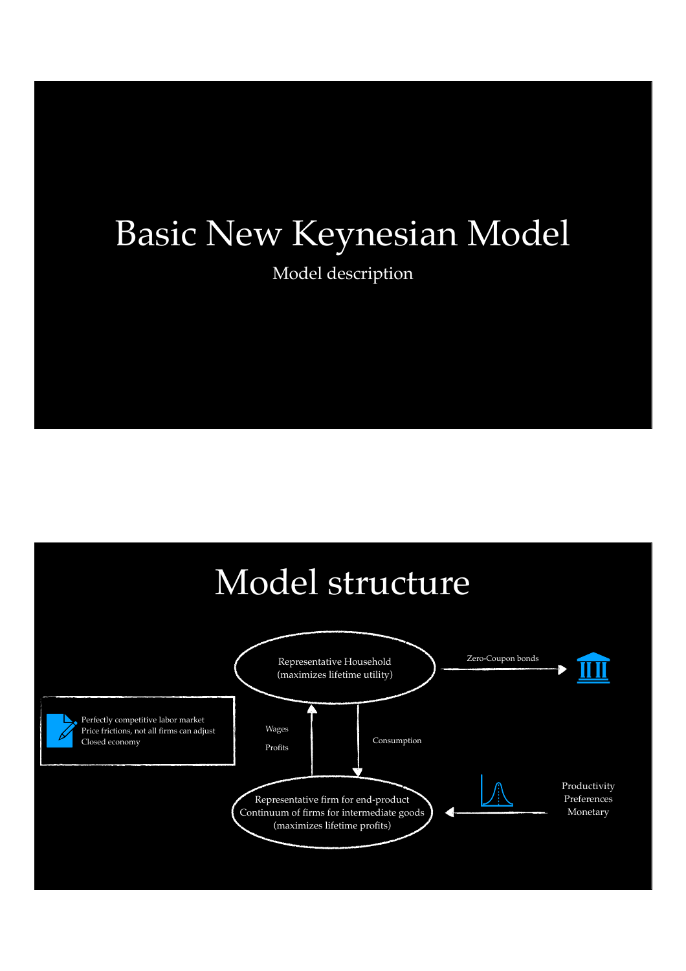## Basic New Keynesian Model

Model description

### Model structure

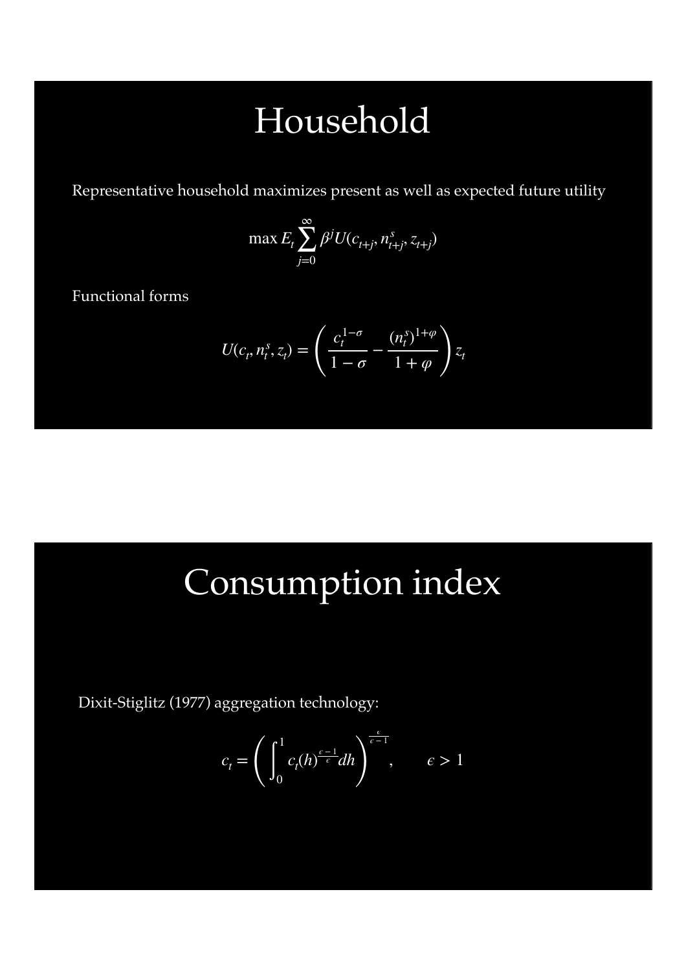### Household

Representative household maximizes present as well as expected future utility

$$
\max E_t \sum_{j=0}^{\infty} \beta^j U(c_{t+j}, n_{t+j}^s, z_{t+j})
$$

Functional forms

$$
U(c_t, n_t^s, z_t) = \left(\frac{c_t^{1-\sigma}}{1-\sigma} - \frac{(n_t^s)^{1+\varphi}}{1+\varphi}\right)z_t
$$

### Consumption index

Dixit-Stiglitz (1977) aggregation technology:

$$
c_t = \left(\int_0^1 c_t(h)^{\frac{\epsilon - 1}{\epsilon}} dh\right)^{\frac{\epsilon}{\epsilon - 1}}, \qquad \epsilon > 1
$$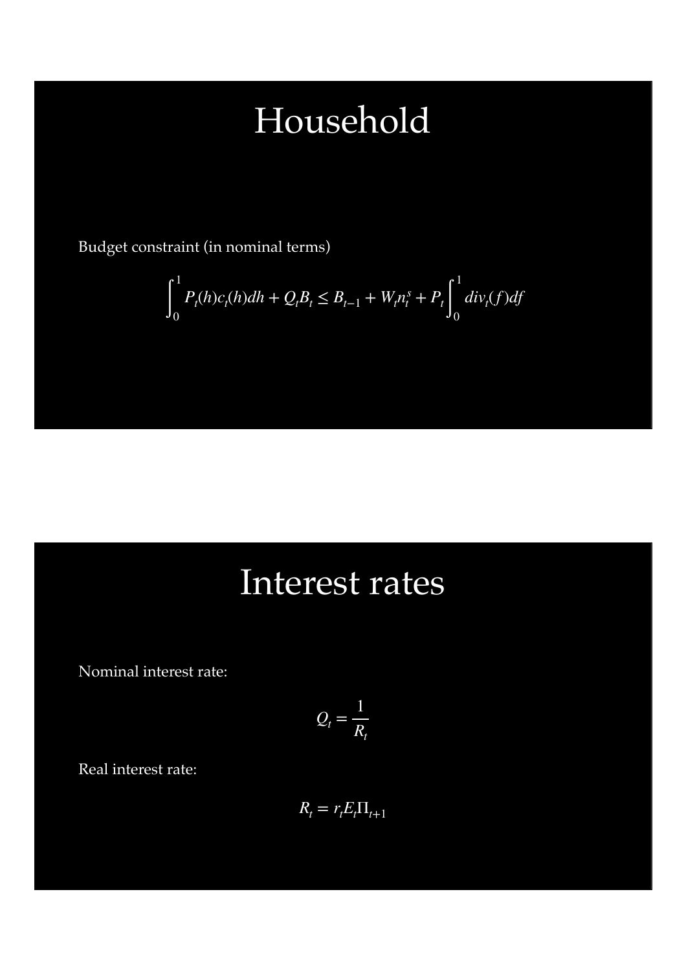## Household

Budget constraint (in nominal terms)

$$
\int_0^1 P_t(h)c_t(h)dh + Q_tB_t \le B_{t-1} + W_t n_t^s + P_t \int_0^1 div_t(f)df
$$

#### Interest rates

Nominal interest rate:

$$
Q_t = \frac{1}{R_t}
$$

Real interest rate:

$$
R_t = r_t E_t \Pi_{t+1}
$$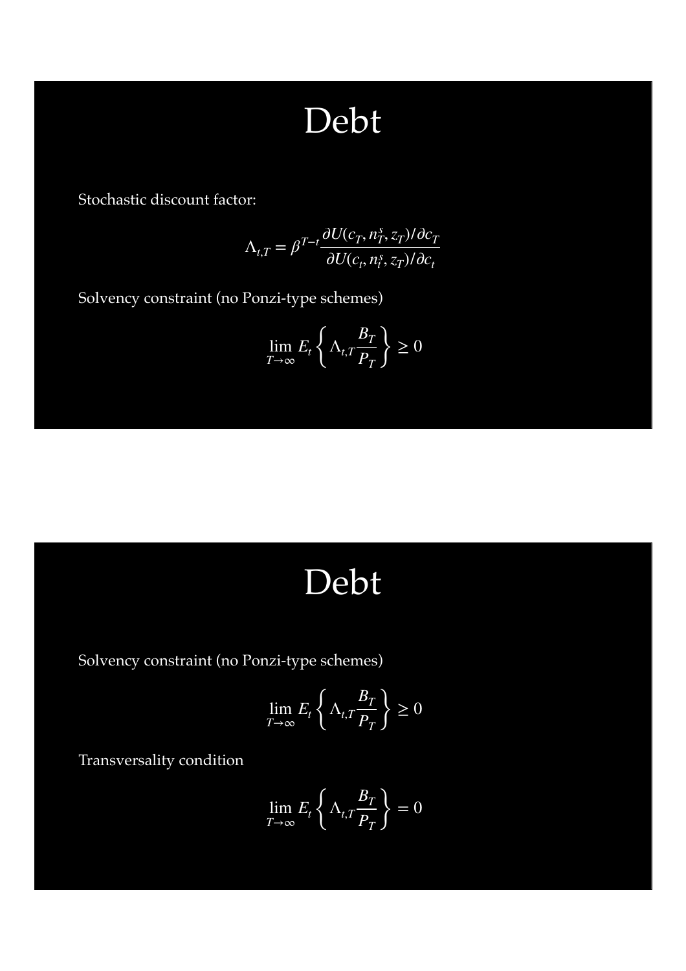### Debt

Stochastic discount factor:

$$
\Lambda_{t,T} = \beta^{T-t} \frac{\partial U(c_T, n_T^s, z_T) / \partial c_T}{\partial U(c_t, n_t^s, z_T) / \partial c_t}
$$

Solvency constraint (no Ponzi-type schemes)

$$
\lim_{T \to \infty} E_t \left\{ \Lambda_{t,T} \frac{B_T}{P_T} \right\} \ge 0
$$

#### Debt

Solvency constraint (no Ponzi-type schemes)

$$
\lim_{T \to \infty} E_t \left\{ \Lambda_{t,T} \frac{B_T}{P_T} \right\} \ge 0
$$

Transversality condition

$$
\lim_{T \to \infty} E_t \left\{ \Lambda_{t,T} \frac{B_T}{P_T} \right\} = 0
$$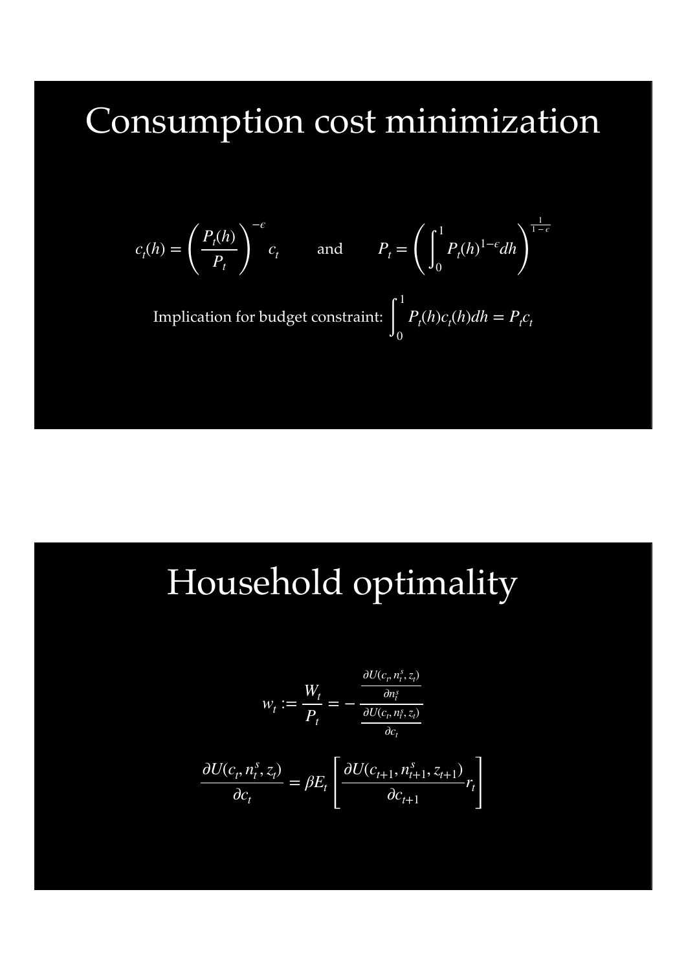### Consumption cost minimization

$$
c_t(h) = \left(\frac{P_t(h)}{P_t}\right)^{-\epsilon} c_t \quad \text{and} \quad P_t = \left(\int_0^1 P_t(h)^{1-\epsilon} dh\right)^{\frac{1}{1-\epsilon}}
$$

Implication for budget constraint: ∫ 1 0  $P_t(h)c_t(h)dh = P_t c_t$ 

## Household optimality

$$
w_t := \frac{W_t}{P_t} = -\frac{\frac{\partial U(c_t, n_t^s, z_t)}{\partial n_t^s}}{\frac{\partial U(c_t, n_t^s, z_t)}{\partial c_t}}
$$

$$
\frac{\partial U(c_t, n_t^s, z_t)}{\partial c_t} = \beta E_t \left[ \frac{\partial U(c_{t+1}, n_{t+1}^s, z_{t+1})}{\partial c_{t+1}} r_t \right]
$$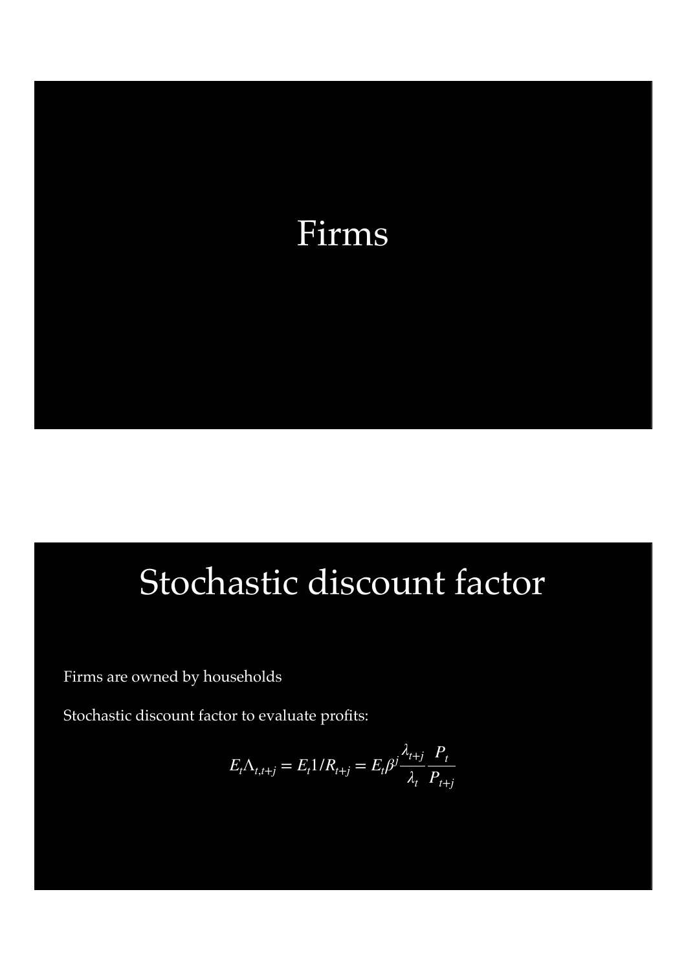

### Stochastic discount factor

Firms are owned by households

Stochastic discount factor to evaluate profits:

$$
E_t \Lambda_{t,t+j} = E_t \frac{1}{R_{t+j}} = E_t \beta^j \frac{\lambda_{t+j}}{\lambda_t} \frac{P_t}{P_{t+j}}
$$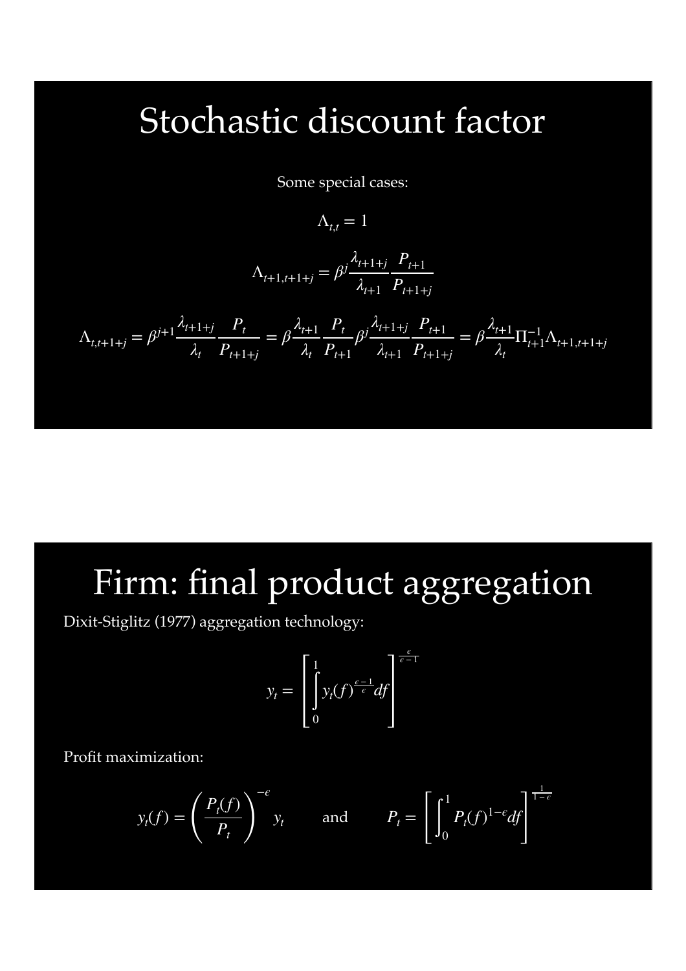#### Stochastic discount factor

Some special cases:

 $\Lambda_{t,t} = 1$ 

$$
\Lambda_{t+1,t+1+j} = \beta^j \frac{\lambda_{t+1+j}}{\lambda_{t+1}} \frac{P_{t+1}}{P_{t+1+j}}
$$

$$
\Lambda_{t,t+1+j} = \beta^{j+1} \frac{\lambda_{t+1+j}}{\lambda_t} \frac{P_t}{P_{t+1+j}} = \beta \frac{\lambda_{t+1}}{\lambda_t} \frac{P_t}{P_{t+1}} \beta^j \frac{\lambda_{t+1+j}}{\lambda_{t+1}} \frac{P_{t+1}}{P_{t+1+j}} = \beta \frac{\lambda_{t+1}}{\lambda_t} \prod_{t+1}^{-1} \Lambda_{t+1,t+1+j}
$$

### Firm: final product aggregation

*ϵ*

Dixit-Stiglitz (1977) aggregation technology:

$$
y_t = \left[\int_0^1 y_t(f)^{\frac{\epsilon - 1}{\epsilon}} df\right]^{\frac{\epsilon}{\epsilon - 1}}
$$

Profit maximization:

$$
y_t(f) = \left(\frac{P_t(f)}{P_t}\right)^{-\epsilon} y_t
$$
 and  $P_t = \left[\int_0^1 P_t(f)^{1-\epsilon} df\right]^{\frac{1}{1-\epsilon}}$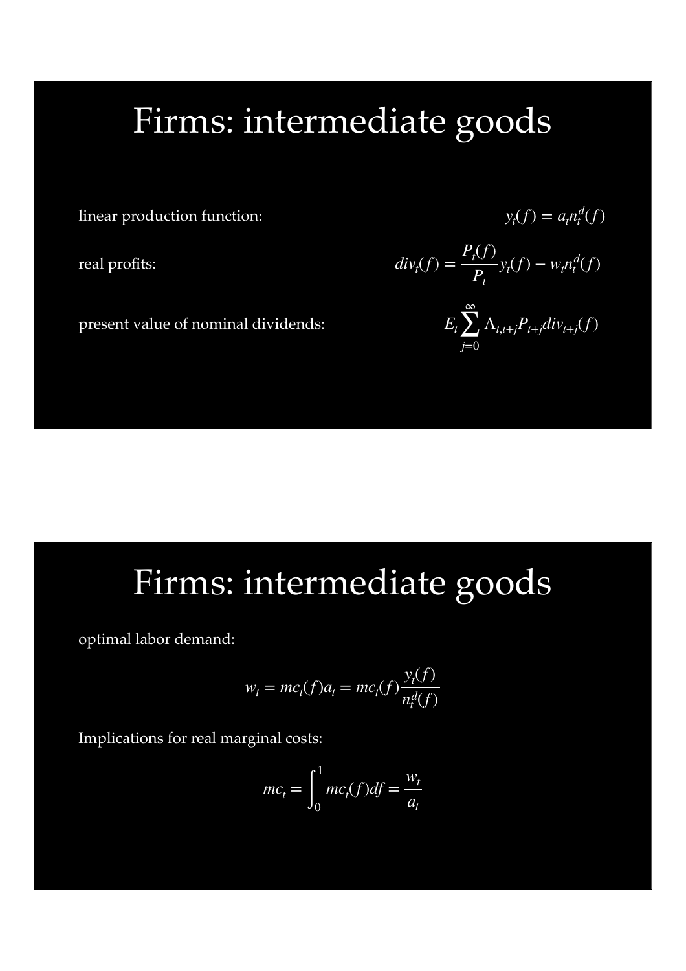### Firms: intermediate goods

linear production function:

real profits:

present value of nominal dividends:

#### $y_t(f) = a_t n_t^d(f)$

$$
divt(f) = \frac{P_t(f)}{P_t} y_t(f) - w_t n_t^d(f)
$$

$$
E_t \sum_{j=0}^{\infty} \Lambda_{t,t+j} P_{t+j} div_{t+j}(f)
$$

### Firms: intermediate goods

optimal labor demand:

$$
w_t = mc_t(f)a_t = mc_t(f)\frac{y_t(f)}{n_t^d(f)}
$$

Implications for real marginal costs:

$$
mc_t = \int_0^1 mc_t(f) df = \frac{w_t}{a_t}
$$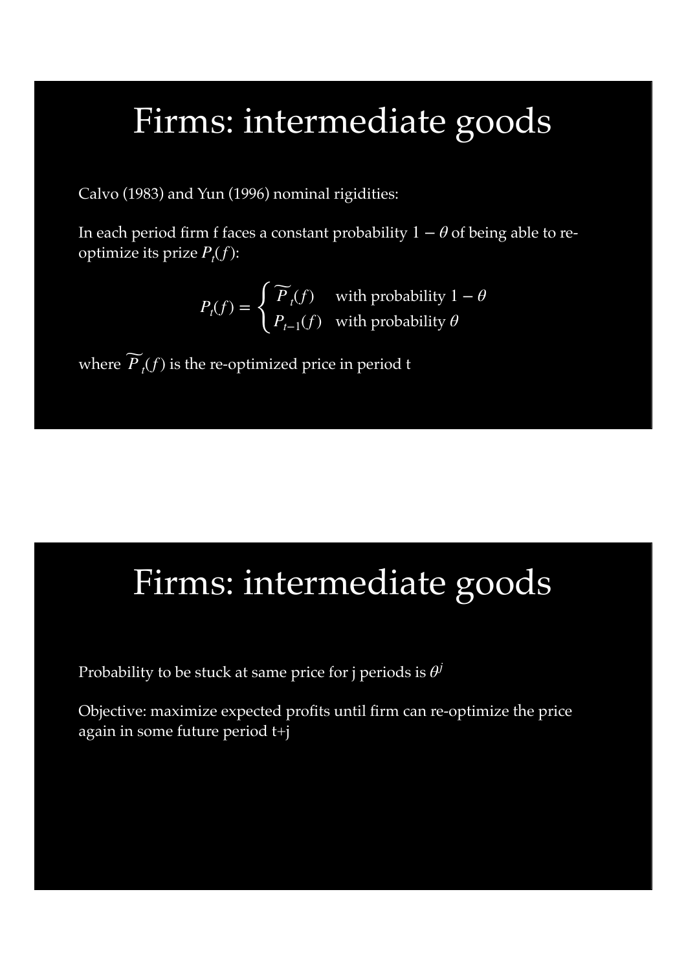#### Firms: intermediate goods

Calvo (1983) and Yun (1996) nominal rigidities:

In each period firm f faces a constant probability  $1 - \theta$  of being able to reoptimize its prize  $P_t(f)$ :

$$
P_t(f) = \begin{cases} \widetilde{P}_t(f) & \text{with probability } 1 - \theta \\ P_{t-1}(f) & \text{with probability } \theta \end{cases}
$$

where  $\widetilde{P}_t(f)$  is the re-optimized price in period t

### Firms: intermediate goods

Probability to be stuck at same price for j periods is *θj*

Objective: maximize expected profits until firm can re-optimize the price again in some future period t+j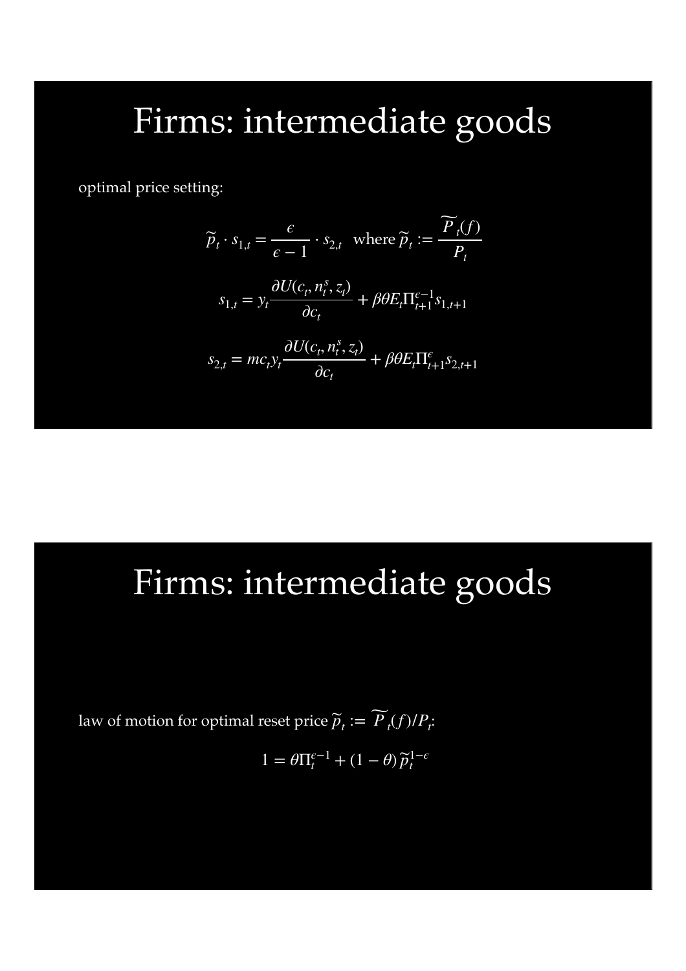### Firms: intermediate goods

optimal price setting:

$$
\widetilde{p}_t \cdot s_{1,t} = \frac{\epsilon}{\epsilon - 1} \cdot s_{2,t} \text{ where } \widetilde{p}_t := \frac{\widetilde{P}_t(f)}{P_t}
$$
\n
$$
s_{1,t} = y_t \frac{\partial U(c_t, n_t^s, z_t)}{\partial c_t} + \beta \theta E_t \Pi_{t+1}^{\epsilon - 1} s_{1,t+1}
$$
\n
$$
s_{2,t} = mc_t y_t \frac{\partial U(c_t, n_t^s, z_t)}{\partial c_t} + \beta \theta E_t \Pi_{t+1}^{\epsilon} s_{2,t+1}
$$

### Firms: intermediate goods

law of motion for optimal reset price  $\widetilde{p}_t := \widetilde{P}_t(f)/P_t$ :

$$
1 = \theta \Pi_t^{\epsilon - 1} + (1 - \theta) \widetilde{p}_t^{1 - \epsilon}
$$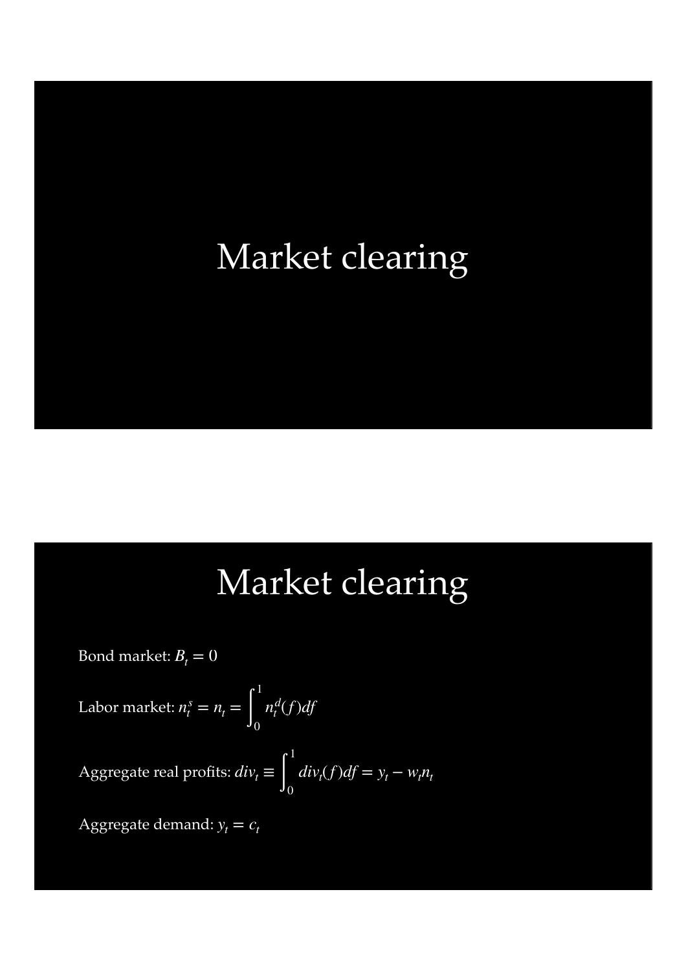### Market clearing

#### Market clearing

Bond market:  $B_t = 0$ 

Labor market:  $n_t^s = n_t = \n\begin{bmatrix} \n\end{bmatrix}$ 1  $\boldsymbol{0}$ *nd <sup>t</sup>* (*f*)*df*

Aggregate real profits:  $div_t \equiv \Big\rfloor$ 1  $\boldsymbol{0}$  $div_t(f)df = y_t - w_t n_t$ 

Aggregate demand:  $y_t = c_t$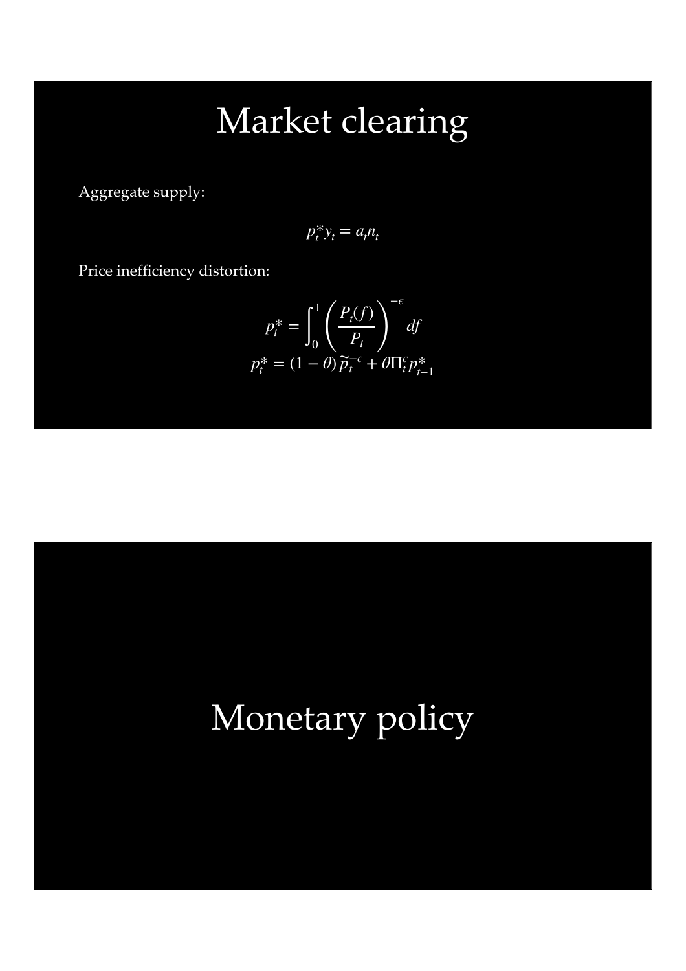## Market clearing

Aggregate supply:

$$
p_t^* y_t = a_t n_t
$$

Price inefficiency distortion:

$$
p_t^* = \int_0^1 \left(\frac{P_t(f)}{P_t}\right)^{-\epsilon} df
$$
  

$$
p_t^* = (1 - \theta)\widetilde{p}_t^{-\epsilon} + \theta \Pi_t^{\epsilon} p_{t-1}^*
$$

### Monetary policy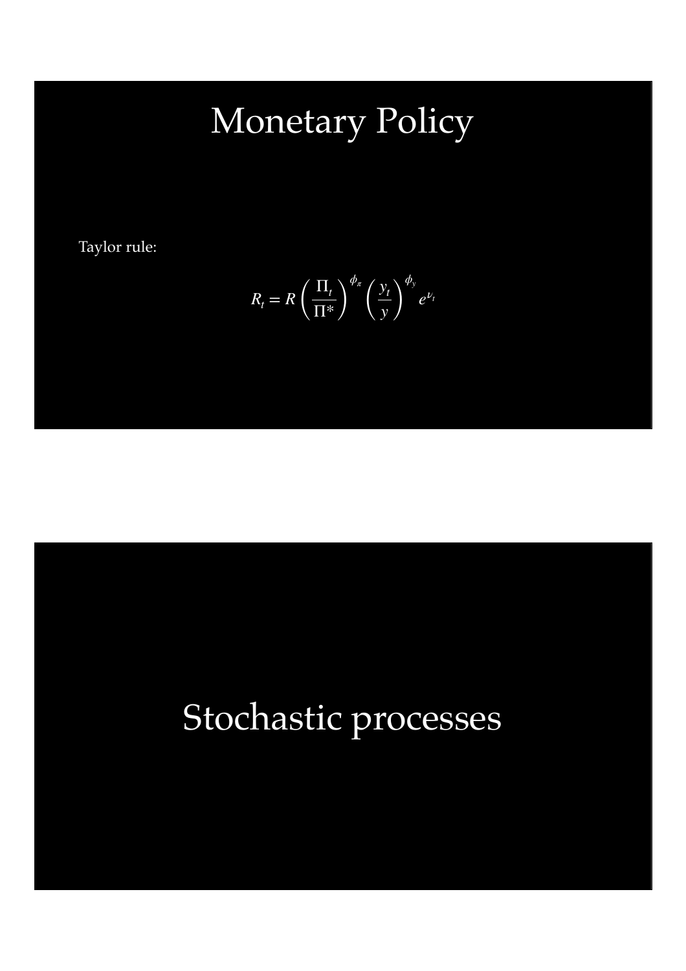# Monetary Policy

Taylor rule:

$$
R_t = R \left(\frac{\Pi_t}{\Pi^*}\right)^{\phi_{\pi}} \left(\frac{y_t}{y}\right)^{\phi_y} e^{\nu_t}
$$

# Stochastic processes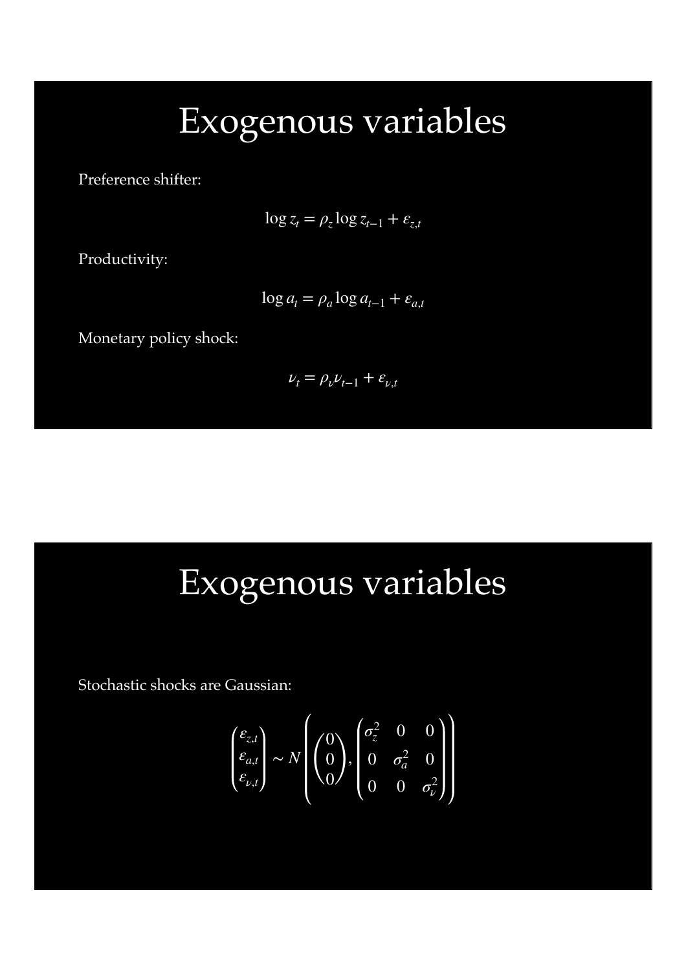### Exogenous variables

Preference shifter:

 $\log z_t = \rho_z \log z_{t-1} + \varepsilon_{z,t}$ 

Productivity:

$$
\log a_t = \rho_a \log a_{t-1} + \varepsilon_{a,t}
$$

Monetary policy shock:

$$
\nu_t = \rho_\nu \nu_{t-1} + \varepsilon_{\nu,t}
$$

## Exogenous variables

Stochastic shocks are Gaussian:

$$
\begin{pmatrix} \varepsilon_{z,t} \\ \varepsilon_{a,t} \\ \varepsilon_{\nu,t} \end{pmatrix} \sim N \begin{pmatrix} 0 \\ 0 \\ 0 \end{pmatrix}, \begin{pmatrix} \sigma_z^2 & 0 & 0 \\ 0 & \sigma_a^2 & 0 \\ 0 & 0 & \sigma_\nu^2 \end{pmatrix}
$$